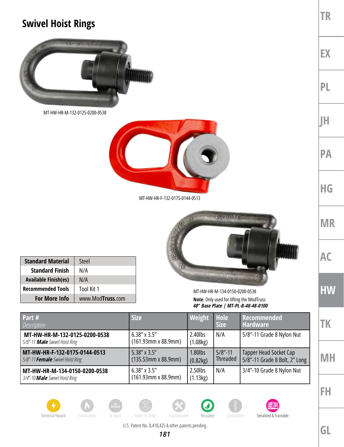## **Swivel Hoist Rings**



MT-HW-HR-M-132-0125-0200-0538



MT-HW-HR-F-132-0175-0144-0513



| <b>Standard Material</b>    | Steel            |
|-----------------------------|------------------|
| <b>Standard Finish</b>      | N/A              |
| <b>Available Finish(es)</b> | N/A              |
| <b>Recommended Tools</b>    | Tool Kit 1       |
| <b>For More Info</b>        | www.ModTruss.com |

MT-HW-HR-M-134-0150-0200-0538 **Note**: Only used for lifting the ModTruss *48" Base Plate | MT-PL-B-48-48-0100*

| Part #<br><b>Description</b>                                             | <b>Size</b>                                   | Weight                 | Hole<br><b>Size</b>           | Recommended<br><b>Hardware</b>                          |
|--------------------------------------------------------------------------|-----------------------------------------------|------------------------|-------------------------------|---------------------------------------------------------|
| MT-HW-HR-M-132-0125-0200-0538<br>5/8"-11 <b>Male</b> Swivel Hoist Ring   | $6.38''$ x 3.5"<br>$(161.93mm \times 88.9mm)$ | 2.40lbs<br>(1.08kg)    | N/A                           | 5/8"-11 Grade 8 Nylon Nut                               |
| MT-HW-HR-F-132-0175-0144-0513<br>5/8"-11 <b>Female</b> Swivel Hoist Ring | 5.38" x 3.5"<br>$(135.53$ mm x 88.9mm)        | 1.80lbs<br>(0.82kg)    | $5/8$ "-11<br><b>Threaded</b> | Tapper Head Socket Cap<br>5/8"-11 Grade 8 Bolt, 2" Long |
| MT-HW-HR-M-134-0150-0200-0538<br>3/4"-10 <b>Male</b> Swivel Hoist Ring   | $6.38''$ x 3.5"<br>$(161.93$ mm x 88.9mm)     | $2.50$ lbs<br>(1.13kg) | N/A                           | 3/4"-10 Grade 8 Nylon Nut                               |

























U.S. Patent No. 8,418,425 & other patents pending

**GL**

**TR**

**EX**

**PL**

**JH**

**PA**

**HG**

**MR**

**AC**

**HW**

**TK**

**MH**

**FH**